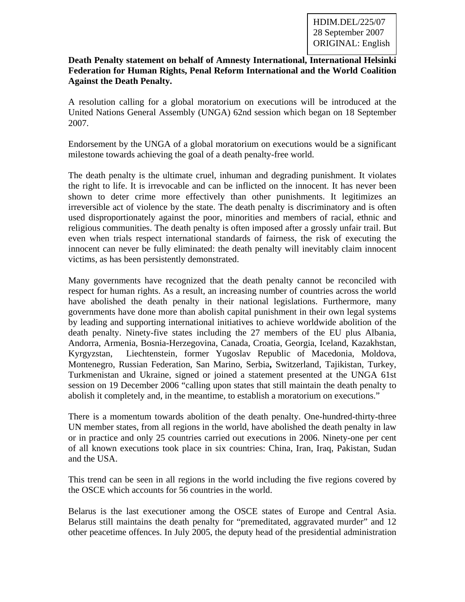## **Death Penalty statement on behalf of Amnesty International, International Helsinki Federation for Human Rights, Penal Reform International and the World Coalition Against the Death Penalty.**

A resolution calling for a global moratorium on executions will be introduced at the United Nations General Assembly (UNGA) 62nd session which began on 18 September 2007.

Endorsement by the UNGA of a global moratorium on executions would be a significant milestone towards achieving the goal of a death penalty-free world.

The death penalty is the ultimate cruel, inhuman and degrading punishment. It violates the right to life. It is irrevocable and can be inflicted on the innocent. It has never been shown to deter crime more effectively than other punishments. It legitimizes an irreversible act of violence by the state. The death penalty is discriminatory and is often used disproportionately against the poor, minorities and members of racial, ethnic and religious communities. The death penalty is often imposed after a grossly unfair trail. But even when trials respect international standards of fairness, the risk of executing the innocent can never be fully eliminated: the death penalty will inevitably claim innocent victims, as has been persistently demonstrated.

Many governments have recognized that the death penalty cannot be reconciled with respect for human rights. As a result, an increasing number of countries across the world have abolished the death penalty in their national legislations. Furthermore, many governments have done more than abolish capital punishment in their own legal systems by leading and supporting international initiatives to achieve worldwide abolition of the death penalty. Ninety-five states including the 27 members of the EU plus Albania, Andorra, Armenia, Bosnia-Herzegovina, Canada, Croatia, Georgia, Iceland, Kazakhstan, Kyrgyzstan, Liechtenstein, former Yugoslav Republic of Macedonia, Moldova, Montenegro, Russian Federation, San Marino, Serbia**,** Switzerland, Tajikistan, Turkey, Turkmenistan and Ukraine, signed or joined a statement presented at the UNGA 61st session on 19 December 2006 "calling upon states that still maintain the death penalty to abolish it completely and, in the meantime, to establish a moratorium on executions."

There is a momentum towards abolition of the death penalty. One-hundred-thirty-three UN member states, from all regions in the world, have abolished the death penalty in law or in practice and only 25 countries carried out executions in 2006. Ninety-one per cent of all known executions took place in six countries: China, Iran, Iraq, Pakistan, Sudan and the USA.

This trend can be seen in all regions in the world including the five regions covered by the OSCE which accounts for 56 countries in the world.

Belarus is the last executioner among the OSCE states of Europe and Central Asia. Belarus still maintains the death penalty for "premeditated, aggravated murder" and 12 other peacetime offences. In July 2005, the deputy head of the presidential administration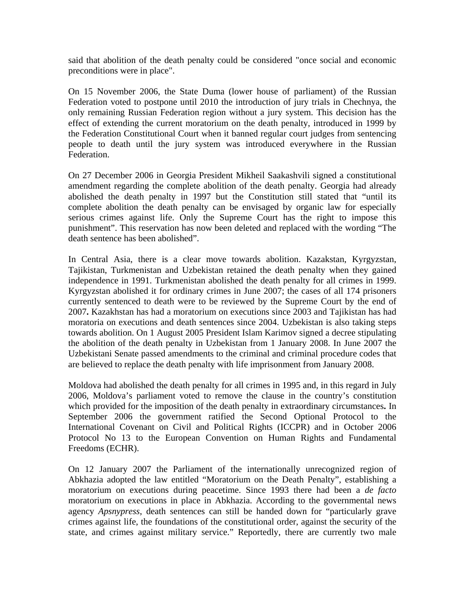said that abolition of the death penalty could be considered "once social and economic preconditions were in place".

On 15 November 2006, the State Duma (lower house of parliament) of the Russian Federation voted to postpone until 2010 the introduction of jury trials in Chechnya, the only remaining Russian Federation region without a jury system. This decision has the effect of extending the current moratorium on the death penalty, introduced in 1999 by the Federation Constitutional Court when it banned regular court judges from sentencing people to death until the jury system was introduced everywhere in the Russian Federation.

On 27 December 2006 in Georgia President Mikheil Saakashvili signed a constitutional amendment regarding the complete abolition of the death penalty. Georgia had already abolished the death penalty in 1997 but the Constitution still stated that "until its complete abolition the death penalty can be envisaged by organic law for especially serious crimes against life. Only the Supreme Court has the right to impose this punishment". This reservation has now been deleted and replaced with the wording "The death sentence has been abolished".

In Central Asia, there is a clear move towards abolition. Kazakstan, Kyrgyzstan, Tajikistan, Turkmenistan and Uzbekistan retained the death penalty when they gained independence in 1991. Turkmenistan abolished the death penalty for all crimes in 1999. Kyrgyzstan abolished it for ordinary crimes in June 2007; the cases of all 174 prisoners currently sentenced to death were to be reviewed by the Supreme Court by the end of 2007**.** Kazakhstan has had a moratorium on executions since 2003 and Tajikistan has had moratoria on executions and death sentences since 2004. Uzbekistan is also taking steps towards abolition. On 1 August 2005 President Islam Karimov signed a decree stipulating the abolition of the death penalty in Uzbekistan from 1 January 2008. In June 2007 the Uzbekistani Senate passed amendments to the criminal and criminal procedure codes that are believed to replace the death penalty with life imprisonment from January 2008.

Moldova had abolished the death penalty for all crimes in 1995 and, in this regard in July 2006, Moldova's parliament voted to remove the clause in the country's constitution which provided for the imposition of the death penalty in extraordinary circumstances**.** In September 2006 the government ratified the Second Optional Protocol to the International Covenant on Civil and Political Rights (ICCPR) and in October 2006 Protocol No 13 to the European Convention on Human Rights and Fundamental Freedoms (ECHR).

On 12 January 2007 the Parliament of the internationally unrecognized region of Abkhazia adopted the law entitled "Moratorium on the Death Penalty", establishing a moratorium on executions during peacetime. Since 1993 there had been a *de facto* moratorium on executions in place in Abkhazia. According to the governmental news agency *Apsnypress*, death sentences can still be handed down for "particularly grave crimes against life, the foundations of the constitutional order, against the security of the state, and crimes against military service." Reportedly, there are currently two male